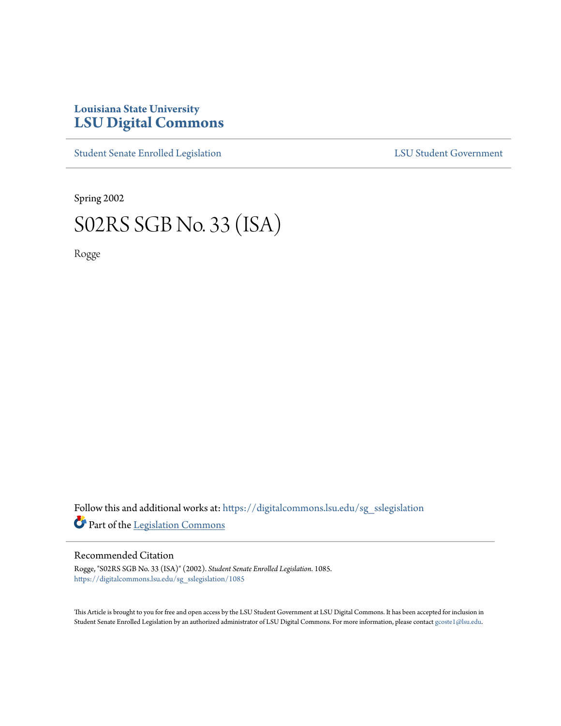## **Louisiana State University [LSU Digital Commons](https://digitalcommons.lsu.edu?utm_source=digitalcommons.lsu.edu%2Fsg_sslegislation%2F1085&utm_medium=PDF&utm_campaign=PDFCoverPages)**

[Student Senate Enrolled Legislation](https://digitalcommons.lsu.edu/sg_sslegislation?utm_source=digitalcommons.lsu.edu%2Fsg_sslegislation%2F1085&utm_medium=PDF&utm_campaign=PDFCoverPages) [LSU Student Government](https://digitalcommons.lsu.edu/sg?utm_source=digitalcommons.lsu.edu%2Fsg_sslegislation%2F1085&utm_medium=PDF&utm_campaign=PDFCoverPages)

Spring 2002

# S02RS SGB No. 33 (ISA)

Rogge

Follow this and additional works at: [https://digitalcommons.lsu.edu/sg\\_sslegislation](https://digitalcommons.lsu.edu/sg_sslegislation?utm_source=digitalcommons.lsu.edu%2Fsg_sslegislation%2F1085&utm_medium=PDF&utm_campaign=PDFCoverPages) Part of the [Legislation Commons](http://network.bepress.com/hgg/discipline/859?utm_source=digitalcommons.lsu.edu%2Fsg_sslegislation%2F1085&utm_medium=PDF&utm_campaign=PDFCoverPages)

### Recommended Citation

Rogge, "S02RS SGB No. 33 (ISA)" (2002). *Student Senate Enrolled Legislation*. 1085. [https://digitalcommons.lsu.edu/sg\\_sslegislation/1085](https://digitalcommons.lsu.edu/sg_sslegislation/1085?utm_source=digitalcommons.lsu.edu%2Fsg_sslegislation%2F1085&utm_medium=PDF&utm_campaign=PDFCoverPages)

This Article is brought to you for free and open access by the LSU Student Government at LSU Digital Commons. It has been accepted for inclusion in Student Senate Enrolled Legislation by an authorized administrator of LSU Digital Commons. For more information, please contact [gcoste1@lsu.edu.](mailto:gcoste1@lsu.edu)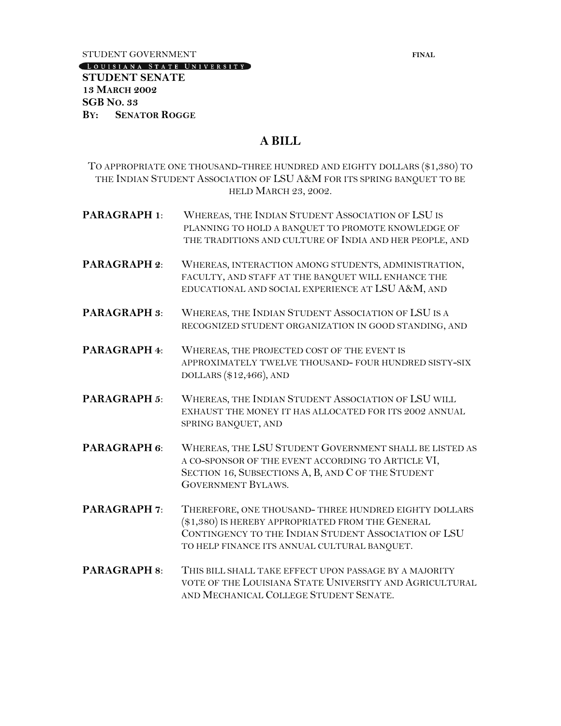STUDENT GOVERNMENT **FINAL** 

#### LOUISIANA STATE UNIVERSITY

## **STUDENT SENATE 13 MARCH 2002 SGB NO. 33 BY: SENATOR ROGGE**

## **A BILL**

TO APPROPRIATE ONE THOUSAND-THREE HUNDRED AND EIGHTY DOLLARS (\$1,380) TO THE INDIAN STUDENT ASSOCIATION OF LSU A&M FOR ITS SPRING BANQUET TO BE HELD MARCH 23, 2002.

- **PARAGRAPH 1**: WHEREAS, THE INDIAN STUDENT ASSOCIATION OF LSU IS PLANNING TO HOLD A BANQUET TO PROMOTE KNOWLEDGE OF THE TRADITIONS AND CULTURE OF INDIA AND HER PEOPLE, AND
- **PARAGRAPH 2**: WHEREAS, INTERACTION AMONG STUDENTS, ADMINISTRATION, FACULTY, AND STAFF AT THE BANQUET WILL ENHANCE THE EDUCATIONAL AND SOCIAL EXPERIENCE AT LSU A&M, AND
- **PARAGRAPH 3**: WHEREAS, THE INDIAN STUDENT ASSOCIATION OF LSU IS A RECOGNIZED STUDENT ORGANIZATION IN GOOD STANDING, AND
- **PARAGRAPH 4**: WHEREAS, THE PROJECTED COST OF THE EVENT IS APPROXIMATELY TWELVE THOUSAND- FOUR HUNDRED SISTY-SIX DOLLARS (\$12,466), AND
- **PARAGRAPH 5**: WHEREAS, THE INDIAN STUDENT ASSOCIATION OF LSU WILL EXHAUST THE MONEY IT HAS ALLOCATED FOR ITS 2002 ANNUAL SPRING BANQUET, AND
- **PARAGRAPH 6**: WHEREAS, THE LSU STUDENT GOVERNMENT SHALL BE LISTED AS A CO-SPONSOR OF THE EVENT ACCORDING TO ARTICLE VI, SECTION 16, SUBSECTIONS A, B, AND C OF THE STUDENT GOVERNMENT BYLAWS.
- **PARAGRAPH 7**: THEREFORE, ONE THOUSAND- THREE HUNDRED EIGHTY DOLLARS (\$1,380) IS HEREBY APPROPRIATED FROM THE GENERAL CONTINGENCY TO THE INDIAN STUDENT ASSOCIATION OF LSU TO HELP FINANCE ITS ANNUAL CULTURAL BANQUET.
- **PARAGRAPH 8**: THIS BILL SHALL TAKE EFFECT UPON PASSAGE BY A MAJORITY VOTE OF THE LOUISIANA STATE UNIVERSITY AND AGRICULTURAL AND MECHANICAL COLLEGE STUDENT SENATE.